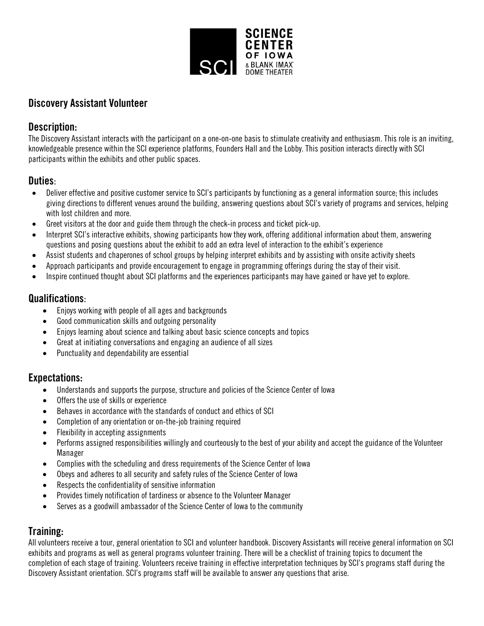

# Discovery Assistant Volunteer

### Description:

The Discovery Assistant interacts with the participant on a one-on-one basis to stimulate creativity and enthusiasm. This role is an inviting, knowledgeable presence within the SCI experience platforms, Founders Hall and the Lobby. This position interacts directly with SCI participants within the exhibits and other public spaces.

## Duties:

- Deliver effective and positive customer service to SCI's participants by functioning as a general information source; this includes giving directions to different venues around the building, answering questions about SCI's variety of programs and services, helping with lost children and more.
- Greet visitors at the door and guide them through the check-in process and ticket pick-up.
- Interpret SCI's interactive exhibits, showing participants how they work, offering additional information about them, answering questions and posing questions about the exhibit to add an extra level of interaction to the exhibit's experience
- Assist students and chaperones of school groups by helping interpret exhibits and by assisting with onsite activity sheets
- Approach participants and provide encouragement to engage in programming offerings during the stay of their visit.
- Inspire continued thought about SCI platforms and the experiences participants may have gained or have yet to explore.

## Qualifications:

- Enjoys working with people of all ages and backgrounds
- Good communication skills and outgoing personality
- Enjoys learning about science and talking about basic science concepts and topics
- Great at initiating conversations and engaging an audience of all sizes
- Punctuality and dependability are essential

# Expectations:

- Understands and supports the purpose, structure and policies of the Science Center of Iowa
- Offers the use of skills or experience
- Behaves in accordance with the standards of conduct and ethics of SCI
- Completion of any orientation or on-the-job training required
- Flexibility in accepting assignments
- Performs assigned responsibilities willingly and courteously to the best of your ability and accept the guidance of the Volunteer Manager
- Complies with the scheduling and dress requirements of the Science Center of Iowa
- Obeys and adheres to all security and safety rules of the Science Center of Iowa
- Respects the confidentiality of sensitive information
- Provides timely notification of tardiness or absence to the Volunteer Manager
- Serves as a goodwill ambassador of the Science Center of Iowa to the community

# Training:

All volunteers receive a tour, general orientation to SCI and volunteer handbook. Discovery Assistants will receive general information on SCI exhibits and programs as well as general programs volunteer training. There will be a checklist of training topics to document the completion of each stage of training. Volunteers receive training in effective interpretation techniques by SCI's programs staff during the Discovery Assistant orientation. SCI's programs staff will be available to answer any questions that arise.